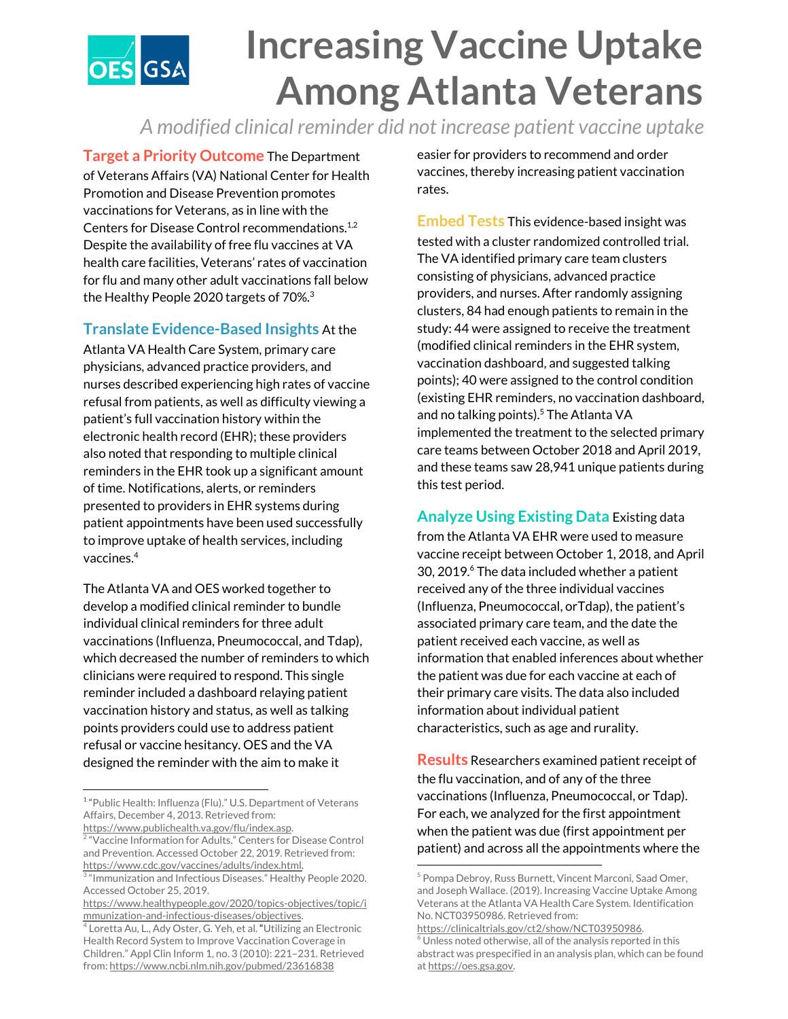## **Increasing Vaccine Uptake OES** GSA **Among Atlanta Veterans**

*A modified clinical reminder did not increase patient vaccine uptake*

**Target a Priority Outcome** The Department of Veterans Affairs (VA) National Center for Health Promotion and Disease Prevention promotes vaccinations for Veterans, as in line with the Centers for Disease Control recommendations. 1,2 Despite the availability of free flu vaccines at VA health care facilities, Veterans' rates of vaccination for flu and many other adult vaccinations fall below the Healthy People 2020 targets of 70%. 3

## **Translate Evidence-Based Insights** At the

Atlanta VA Health Care System, primary care physicians, advanced practice providers, and nurses described experiencing high rates of vaccine refusal from patients, as well as difficulty viewing a patient's full vaccination history within the electronic health record (EHR); these providers also noted that responding to multiple clinical reminders in the EHR took up a significant amount of time. Notifications, alerts, or reminders presented to providers in EHR systems during patient appointments have been used successfully to improve uptake of health services, including vaccines. 4

The Atlanta VA and OES worked together to develop a modified clinical reminder to bundle individual clinical reminders for three adult vaccinations (Influenza, Pneumococcal, and Tdap), which decreased the number of reminders to which clinicians were required to respond. This single reminder included a dashboard relaying patient vaccination history and status, as well as talking points providers could use to address patient refusal or vaccine hesitancy. OES and the VA designed the reminder with the aim to make it

easier for providers to recommend and order vaccines, thereby increasing patient vaccination rates.

**Embed Tests** This evidence-based insight was tested with a cluster randomized controlled trial. The VA identified primary care team clusters consisting of physicians, advanced practice providers, and nurses. After randomly assigning clusters, 84 had enough patients to remain in the study: 44 were assigned to receive the treatment (modified clinical reminders in the EHR system, vaccination dashboard, and suggested talking points); 40 were assigned to the control condition (existing EHR reminders, no vaccination dashboard, and no talking points).<sup>5</sup> The Atlanta VA implemented the treatment to the selected primary care teams between October 2018 and April 2019, and these teams saw 28,941 unique patients during this test period.

**Analyze Using Existing Data** Existing data from the Atlanta VA EHR were used to measure vaccine receipt between October 1, 2018, and April 30, 2019.<sup>6</sup> The data included whether a patient received any of the three individual vaccines (Influenza, Pneumococcal, orTdap), the patient's associated primary care team, and the date the patient received each vaccine, as well as information that enabled inferences about whether the patient was due for each vaccine at each of their primary care visits. The data also included information about individual patient characteristics, such as age and rurality.

**Results** Researchers examined patient receipt of the flu vaccination, and of any of the three vaccinations (Influenza, Pneumococcal, or Tdap). For each, we analyzed for the first appointment when the patient was due (first appointment per patient) and across all the appointments where the

<sup>&</sup>lt;sup>1</sup> "Public Health: Influenza (Flu)." U.S. Department of Veterans Affairs, December 4, 2013. Retrieved from:

<https://www.publichealth.va.gov/flu/index.asp>. 2 "Vaccine Information for Adults." Centers for Disease Control and Prevention. Accessed October 22, 2019. Retrieved from: [https://www.cdc.gov/vaccines/adults/index.html.](https://www.cdc.gov/vaccines/adults/index.html)

<sup>3</sup> "Immunization and Infectious Diseases." Healthy People 2020. Accessed October 25, 2019.

[https://www.healthypeople.gov/2020/topics-objectives/topic/i](https://www.healthypeople.gov/2020/topics-objectives/topic/immunization-and-infectious-diseases/objectives) [mmunization-and-infectious-diseases/objectives](https://www.healthypeople.gov/2020/topics-objectives/topic/immunization-and-infectious-diseases/objectives).

<sup>&</sup>lt;sup>4</sup> Loretta Au, L., Ady Oster, G. Yeh, et al. "Utilizing an Electronic Health Record System to Improve Vaccination Coverage in Children." Appl Clin Inform 1, no. 3 (2010): 221–231. Retrieved from: <https://www.ncbi.nlm.nih.gov/pubmed/23616838>

<sup>5</sup> Pompa Debroy, Russ Burnett, Vincent Marconi, Saad Omer, and Joseph Wallace. (2019). Increasing Vaccine Uptake Among Veterans at the Atlanta VA Health Care System. Identification No. NCT03950986. Retrieved from:

[https://clinicaltrials.gov/ct2/show/NCT03950986.](https://clinicaltrials.gov/ct2/show/NCT03950986)  $6$  Unless noted otherwise, all of the analysis reported in this abstract was prespecified in an analysis plan, which can be found at [https://oes.gsa.gov.](https://oes.gsa.gov/)